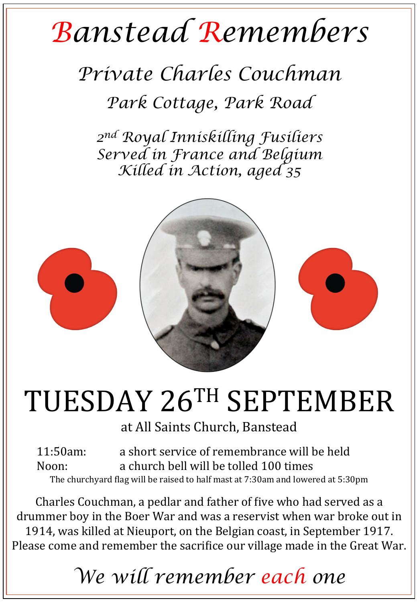## *Banstead Remembers*

## *Private Charles Couchman*

*Park Cottage, Park Road* 

*2nd Royal Inniskilling Fusiliers Served in France and Belgium Killed in Action, aged 35* 



# TUESDAY 26TH SEPTEMBER

at All Saints Church, Banstead

11:50am: a short service of remembrance will be held Noon: a church bell will be tolled 100 times The churchyard flag will be raised to half mast at  $7:30$ am and lowered at  $5:30$ pm

Charles Couchman, a pedlar and father of five who had served as a drummer boy in the Boer War and was a reservist when war broke out in 1914, was killed at Nieuport, on the Belgian coast, in September 1917. Please come and remember the sacrifice our village made in the Great War.

### *We will remember each one*